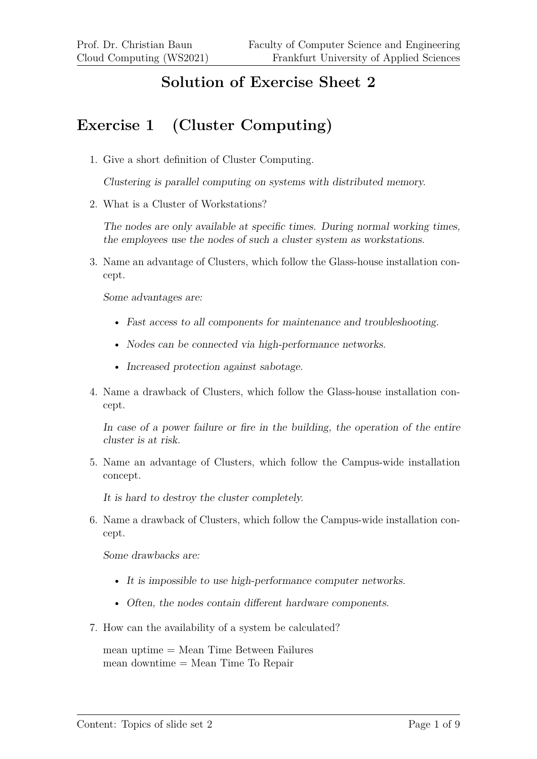## **Solution of Exercise Sheet 2**

## **Exercise 1 (Cluster Computing)**

1. Give a short definition of Cluster Computing.

Clustering is parallel computing on systems with distributed memory.

2. What is a Cluster of Workstations?

The nodes are only available at specific times. During normal working times, the employees use the nodes of such a cluster system as workstations.

3. Name an advantage of Clusters, which follow the Glass-house installation concept.

Some advantages are:

- Fast access to all components for maintenance and troubleshooting.
- Nodes can be connected via high-performance networks.
- Increased protection against sabotage.
- 4. Name a drawback of Clusters, which follow the Glass-house installation concept.

In case of a power failure or fire in the building, the operation of the entire cluster is at risk.

5. Name an advantage of Clusters, which follow the Campus-wide installation concept.

It is hard to destroy the cluster completely.

6. Name a drawback of Clusters, which follow the Campus-wide installation concept.

Some drawbacks are:

- It is impossible to use high-performance computer networks.
- Often, the nodes contain different hardware components.
- 7. How can the availability of a system be calculated?

mean uptime = Mean Time Between Failures mean downtime = Mean Time To Repair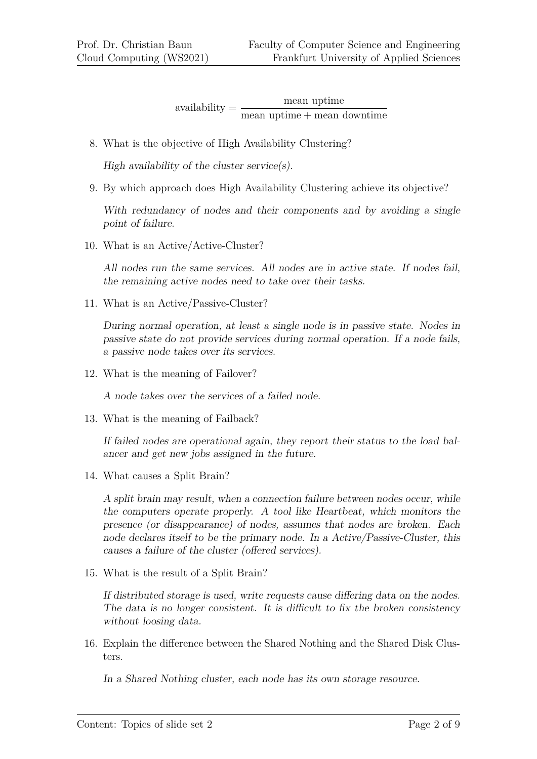availability = mean uptime mean uptime + mean downtime

8. What is the objective of High Availability Clustering?

High availability of the cluster service $(s)$ .

9. By which approach does High Availability Clustering achieve its objective?

With redundancy of nodes and their components and by avoiding a single point of failure.

10. What is an Active/Active-Cluster?

All nodes run the same services. All nodes are in active state. If nodes fail, the remaining active nodes need to take over their tasks.

11. What is an Active/Passive-Cluster?

During normal operation, at least a single node is in passive state. Nodes in passive state do not provide services during normal operation. If a node fails, a passive node takes over its services.

12. What is the meaning of Failover?

A node takes over the services of a failed node.

13. What is the meaning of Failback?

If failed nodes are operational again, they report their status to the load balancer and get new jobs assigned in the future.

14. What causes a Split Brain?

A split brain may result, when a connection failure between nodes occur, while the computers operate properly. A tool like Heartbeat, which monitors the presence (or disappearance) of nodes, assumes that nodes are broken. Each node declares itself to be the primary node. In a Active/Passive-Cluster, this causes a failure of the cluster (offered services).

15. What is the result of a Split Brain?

If distributed storage is used, write requests cause differing data on the nodes. The data is no longer consistent. It is difficult to fix the broken consistency without loosing data.

16. Explain the difference between the Shared Nothing and the Shared Disk Clusters.

In a Shared Nothing cluster, each node has its own storage resource.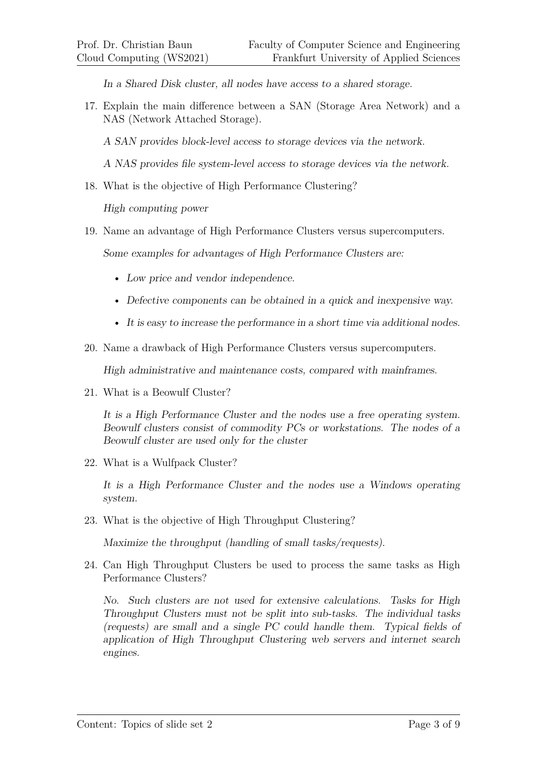In a Shared Disk cluster, all nodes have access to a shared storage.

- 17. Explain the main difference between a SAN (Storage Area Network) and a NAS (Network Attached Storage).
	- A SAN provides block-level access to storage devices via the network.
	- A NAS provides file system-level access to storage devices via the network.
- 18. What is the objective of High Performance Clustering?

High computing power

19. Name an advantage of High Performance Clusters versus supercomputers.

Some examples for advantages of High Performance Clusters are:

- Low price and vendor independence.
- Defective components can be obtained in a quick and inexpensive way.
- It is easy to increase the performance in a short time via additional nodes.
- 20. Name a drawback of High Performance Clusters versus supercomputers.

High administrative and maintenance costs, compared with mainframes.

21. What is a Beowulf Cluster?

It is a High Performance Cluster and the nodes use a free operating system. Beowulf clusters consist of commodity PCs or workstations. The nodes of a Beowulf cluster are used only for the cluster

22. What is a Wulfpack Cluster?

It is a High Performance Cluster and the nodes use a Windows operating system.

23. What is the objective of High Throughput Clustering?

Maximize the throughput (handling of small tasks/requests).

24. Can High Throughput Clusters be used to process the same tasks as High Performance Clusters?

No. Such clusters are not used for extensive calculations. Tasks for High Throughput Clusters must not be split into sub-tasks. The individual tasks (requests) are small and a single PC could handle them. Typical fields of application of High Throughput Clustering web servers and internet search engines.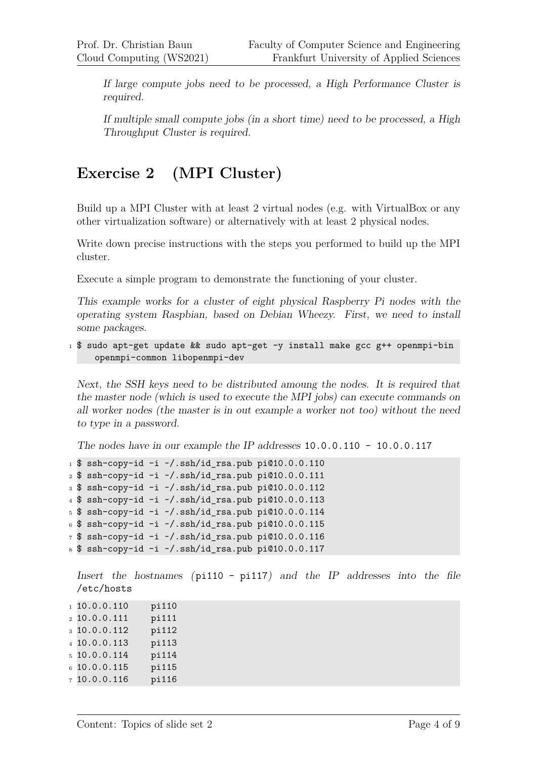If large compute jobs need to be processed, a High Performance Cluster is required.

If multiple small compute jobs (in a short time) need to be processed, a High Throughput Cluster is required.

## **Exercise 2 (MPI Cluster)**

Build up a MPI Cluster with at least 2 virtual nodes (e.g. with VirtualBox or any other virtualization software) or alternatively with at least 2 physical nodes.

Write down precise instructions with the steps you performed to build up the MPI cluster.

Execute a simple program to demonstrate the functioning of your cluster.

This example works for a cluster of eight physical Raspberry Pi nodes with the operating system Raspbian, based on Debian Wheezy. First, we need to install some packages.

 $1$  \$ sudo apt-get update && sudo apt-get -y install make gcc g++ openmpi-bin openmpi-common libopenmpi-dev

Next, the SSH keys need to be distributed amoung the nodes. It is required that the master node (which is used to execute the MPI jobs) can execute commands on all worker nodes (the master is in out example a worker not too) without the need to type in a password.

The nodes have in our example the IP addresses  $10.0.0.110 - 10.0.0.117$ 

```
1 \text{ $s$ sh-copy-id -i \text{-} \text{ } s$.}
```

```
2 $ ssh-copy-id -i ~/.ssh/id_rsa.pub pi@10.0.0.111
```

```
3 $ ssh-copy-id -i \gamma.ssh/id_rsa.pub pi@10.0.0.112
```

```
4 $ ssh-copy-id -i \sim/.ssh/id_rsa.pub pi@10.0.0.113
```

```
5 $ ssh-copy-id -i \sim/.ssh/id_rsa.pub pi@10.0.0.114
```

```
6 $ ssh-copy-id -i \sim/.ssh/id_rsa.pub pi@10.0.0.115
```

```
7 $ ssh-copy-id -i ~/.ssh/id_rsa.pub pi@10.0.0.116
```

```
8 $ ssh-copy-id -i \alpha/.ssh/id_rsa.pub pi@10.0.0.117
```
Insert the hostnames (pi110 - pi117) and the IP addresses into the file /etc/hosts

| 110.0.0.110     | pi110 |
|-----------------|-------|
| $2$ 10.0.0.111  | pi111 |
| 310.0.0.112     | pi112 |
| $4$ 10.0.0.113  | pi113 |
| $5\,10.0.0.114$ | pi114 |
| 610.0.0.115     | pi115 |
| 710.0.0.116     | pi116 |
|                 |       |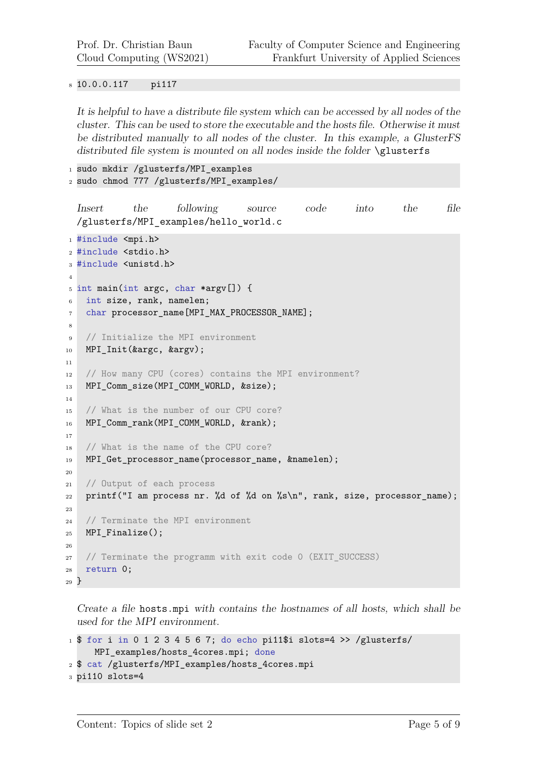10.0.0.117 pi117

It is helpful to have a distribute file system which can be accessed by all nodes of the cluster. This can be used to store the executable and the hosts file. Otherwise it must be distributed manually to all nodes of the cluster. In this example, a GlusterFS distributed file system is mounted on all nodes inside the folder \glusterfs

```
1 sudo mkdir /glusterfs/MPI_examples
```

```
2 sudo chmod 777 /glusterfs/MPI_examples/
```

```
Insert the following source code into the file
  /glusterfs/MPI_examples/hello_world.c
1 #include <mpi.h>
2 #include <stdio.h>
3 #include <unistd.h>
4
5 int main(int argc, char *argv[]) {
6 int size, rank, namelen;
7 char processor_name[MPI_MAX_PROCESSOR_NAME];
8
9 // Initialize the MPI environment
10 MPI_Init(&argc, &argv);
11
12 // How many CPU (cores) contains the MPI environment?
13 MPI_Comm_size(MPI_COMM_WORLD, &size);
14
15 // What is the number of our CPU core?
16 MPI_Comm_rank(MPI_COMM_WORLD, &rank);
17
18 // What is the name of the CPU core?
19 MPI_Get_processor_name(processor_name, &namelen);
20
21 // Output of each process
22 printf("I am process nr. %d of %d on %s\n", rank, size, processor_name);
23
24 // Terminate the MPI environment
25 MPI Finalize();
26
27 // Terminate the programm with exit code 0 (EXIT_SUCCESS)
28 return 0;
29 }
```
Create a file hosts.mpi with contains the hostnames of all hosts, which shall be used for the MPI environment.

```
1 $ for i in 0 1 2 3 4 5 6 7; do echo pi11$i slots=4 >> /glusterfs/
     MPI_examples/hosts_4cores.mpi; done
2 $ cat /glusterfs/MPI_examples/hosts_4cores.mpi
3 pi110 slots=4
```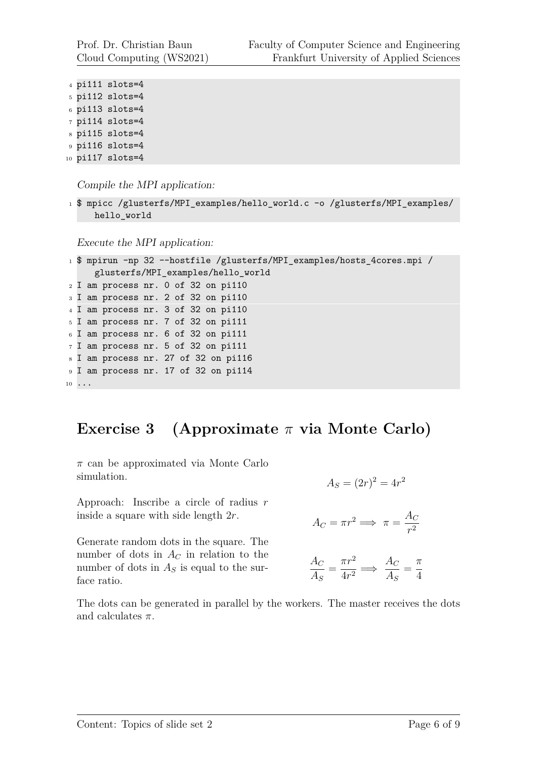Prof. Dr. Christian Baun Cloud Computing (WS2021)

```
4 pi111 slots=4
5 pi112 slots=4
6 pi113 slots=4
7 pi114 slots=4
8 pi115 slots=4
9 pi116 slots=4
10 pi117 slots=4
```
Compile the MPI application:

```
1 $ mpicc /glusterfs/MPI_examples/hello_world.c -o /glusterfs/MPI_examples/
     hello_world
```
Execute the MPI application:

```
1 $ mpirun -np 32 --hostfile /glusterfs/MPI_examples/hosts_4cores.mpi /
     glusterfs/MPI_examples/hello_world
2 I am process nr. 0 of 32 on pi110
3 I am process nr. 2 of 32 on pi110
4 I am process nr. 3 of 32 on pi110
5 I am process nr. 7 of 32 on pi111
6 I am process nr. 6 of 32 on pi111
7 I am process nr. 5 of 32 on pi111
8 I am process nr. 27 of 32 on pi116
9 I am process nr. 17 of 32 on pi114
10 \cdot \cdot \cdot
```
## **Exercise 3 (Approximate** *π* **via Monte Carlo)**

*π* can be approximated via Monte Carlo simulation.

Approach: Inscribe a circle of radius *r* inside a square with side length 2*r*.

Generate random dots in the square. The number of dots in  $A_C$  in relation to the number of dots in  $A<sub>S</sub>$  is equal to the surface ratio.

$$
A_S = (2r)^2 = 4r^2
$$

$$
A_C = \pi r^2 \Longrightarrow \pi = \frac{A_C}{r^2}
$$

$$
\frac{A_C}{A_S} = \frac{\pi r^2}{4r^2} \implies \frac{A_C}{A_S} = \frac{\pi}{4}
$$

The dots can be generated in parallel by the workers. The master receives the dots and calculates *π*.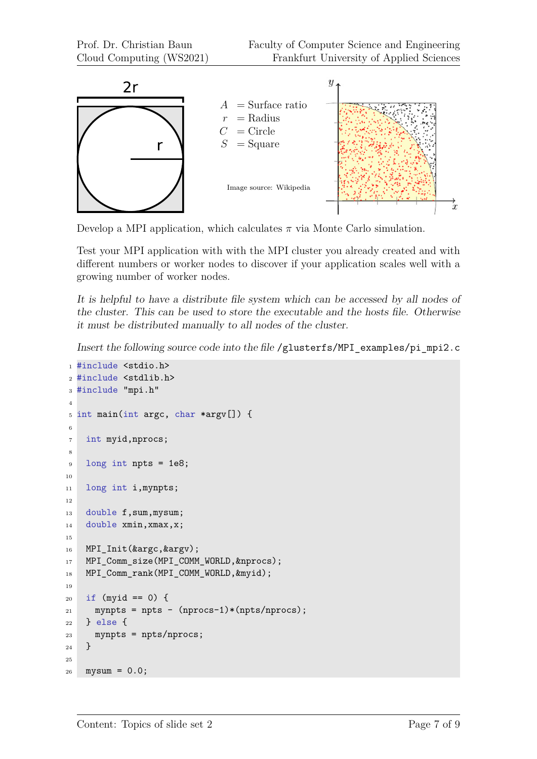

Develop a MPI application, which calculates  $\pi$  via Monte Carlo simulation.

Test your MPI application with with the MPI cluster you already created and with different numbers or worker nodes to discover if your application scales well with a growing number of worker nodes.

It is helpful to have a distribute file system which can be accessed by all nodes of the cluster. This can be used to store the executable and the hosts file. Otherwise it must be distributed manually to all nodes of the cluster.

Insert the following source code into the file /glusterfs/MPI\_examples/pi\_mpi2.c

```
1 #include <stdio.h>
2 #include <stdlib.h>
3 #include "mpi.h"
4
5 int main(int argc, char *argv[]) {
6
7 int myid,nprocs;
8
9 long int npts = 1e8;
10
11 long int i,mynpts;
12
13 double f, sum, mysum;
14 double xmin, xmax, x;
15
16 MPI Init(&argc, &argy);
17 MPI Comm size(MPI COMM WORLD, &nprocs);
18 MPI_Comm_rank(MPI_COMM_WORLD,&myid);
19
20 if (myid == 0) {
21 mynpts = npts - (nprocs-1)*(npts/nprocs);
22 } else {
23 mynpts = npts/nprocs;
24 }
25
26 mysum = 0.0;
```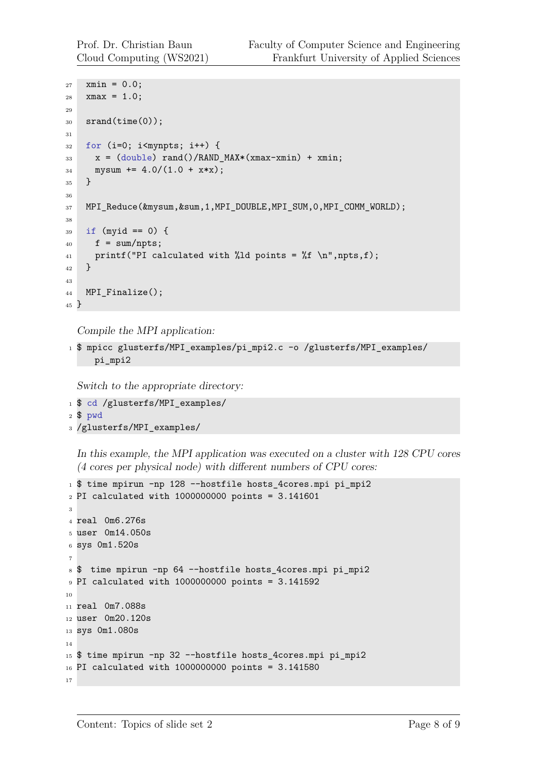```
27 xmin = 0.0;
28 xmax = 1.0;
29
30 srand(time(0));
31
32 for (i=0; i<mynpts; i++) {
33 x = (double) rand()/RAND_MAX*(xmax-xmin) + xmin;
34 mysum += 4.0/(1.0 + x*x);35 }
36
37 MPI_Reduce(&mysum,&sum,1,MPI_DOUBLE,MPI_SUM,0,MPI_COMM_WORLD);
38
39 if (myid == 0) {
_{40} f = sum/npts;
41 printf("PI calculated with %ld points = %f \ (n, p, t);
42 \frac{1}{2}43
44 MPI_Finalize();
45 }
```
Compile the MPI application:

```
1 $ mpicc glusterfs/MPI_examples/pi_mpi2.c -o /glusterfs/MPI_examples/
    pi_mpi2
```
Switch to the appropriate directory:

- \$ cd /glusterfs/MPI\_examples/
- \$ pwd
- /glusterfs/MPI\_examples/

In this example, the MPI application was executed on a cluster with 128 CPU cores (4 cores per physical node) with different numbers of CPU cores:

```
1 $ time mpirun -np 128 --hostfile hosts_4cores.mpi pi_mpi2
_{2} PI calculated with 1000000000 points = 3.141601
3
4 real 0m6.276s
5 user 0m14.050s
6 sys 0m1.520s
7
8 $ time mpirun -np 64 --hostfile hosts_4cores.mpi pi_mpi2
9 PI calculated with 1000000000 points = 3.141592
10
11 real 0m7.088s
12 user 0m20.120s
13 sys 0m1.080s
14
15 $ time mpirun -np 32 --hostfile hosts_4cores.mpi pi_mpi2
16 PI calculated with 1000000000 points = 3.141580
17
```